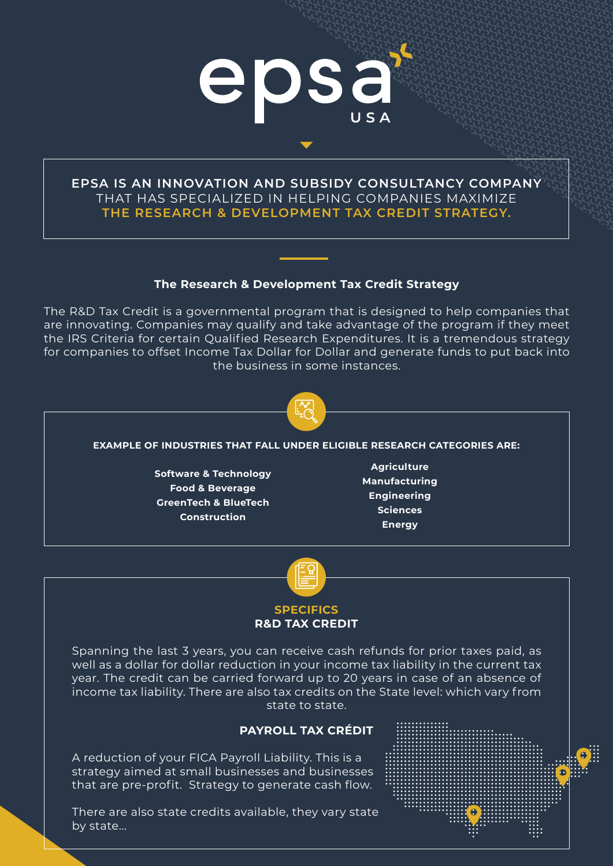

## **EPSA IS AN INNOVATION AND SUBSIDY CONSULTANCY COMPANY** THAT HAS SPECIALIZED IN HELPING COMPANIES MAXIMIZE **THE RESEARCH & DEVELOPMENT TAX CREDIT STRATEGY.**

### **The Research & Development Tax Credit Strategy**

The R&D Tax Credit is a governmental program that is designed to help companies that are innovating. Companies may qualify and take advantage of the program if they meet the IRS Criteria for certain Qualified Research Expenditures. It is a tremendous strategy for companies to offset Income Tax Dollar for Dollar and generate funds to put back into the business in some instances.



#### **EXAMPLE OF INDUSTRIES THAT FALL UNDER ELIGIBLE RESEARCH CATEGORIES ARE:**

**Software & Technology Food & Beverage GreenTech & BlueTech Construction**

**Agriculture Manufacturing Engineering Sciences Energy**



# **R&D TAX CREDIT**

Spanning the last 3 years, you can receive cash refunds for prior taxes paid, as well as a dollar for dollar reduction in your income tax liability in the current tax year. The credit can be carried forward up to 20 years in case of an absence of income tax liability. There are also tax credits on the State level: which vary from state to state.

### **PAYROLL TAX CRÉDIT**

A reduction of your FICA Payroll Liability. This is a strategy aimed at small businesses and businesses that are pre-profit. Strategy to generate cash flow.

There are also state credits available, they vary state by state...